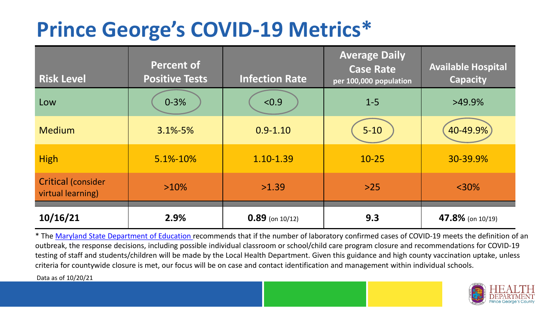## **Prince George's COVID-19 Metrics\***

| <b>Risk Level</b>                              | <b>Percent of</b><br><b>Positive Tests</b> | <b>Infection Rate</b> | <b>Average Daily</b><br><b>Case Rate</b><br>per 100,000 population | <b>Available Hospital</b><br><b>Capacity</b> |
|------------------------------------------------|--------------------------------------------|-----------------------|--------------------------------------------------------------------|----------------------------------------------|
| Low                                            | $0 - 3%$                                   | < 0.9                 | $1 - 5$                                                            | $>49.9\%$                                    |
| <b>Medium</b>                                  | $3.1\% - 5\%$                              | $0.9 - 1.10$          | $5 - 10$                                                           | 40-49.9%                                     |
| <b>High</b>                                    | $5.1\% - 10\%$                             | 1.10-1.39             | $10 - 25$                                                          | 30-39.9%                                     |
| <b>Critical (consider</b><br>virtual learning) | $>10\%$                                    | >1.39                 | $>25$                                                              | $<$ 30%                                      |
| 10/16/21                                       | 2.9%                                       | $0.89$ (on 10/12)     | 9.3                                                                | 47.8% (on 10/19)                             |

\* The [Maryland State Department of Education r](https://earlychildhood.marylandpublicschools.org/system/files/filedepot/3/covid_guidance_full_080420.pdf)ecommends that if the number of laboratory confirmed cases of COVID-19 meets the definition of an outbreak, the response decisions, including possible individual classroom or school/child care program closure and recommendations for COVID-19 testing of staff and students/children will be made by the Local Health Department. Given this guidance and high county vaccination uptake, unless criteria for countywide closure is met, our focus will be on case and contact identification and management within individual schools.

Data as of 10/20/21

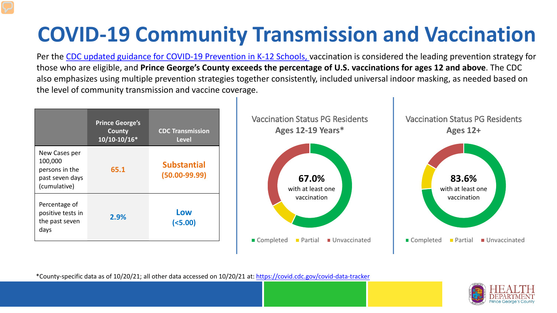# **COVID-19 Community Transmission and Vaccination**

Per the [CDC updated guidance for COVID-19 Prevention in K-12 Schools,](https://www.cdc.gov/coronavirus/2019-ncov/community/schools-childcare/k-12-guidance.html) vaccination is considered the leading prevention strategy for those who are eligible, and **Prince George's County exceeds the percentage of U.S. vaccinations for ages 12 and above**. The CDC also emphasizes using multiple prevention strategies together consistently, included universal indoor masking, as needed based on the level of community transmission and vaccine coverage.



\*County-specific data as of 10/20/21; all other data accessed on 10/20/21 at:<https://covid.cdc.gov/covid-data-tracker>

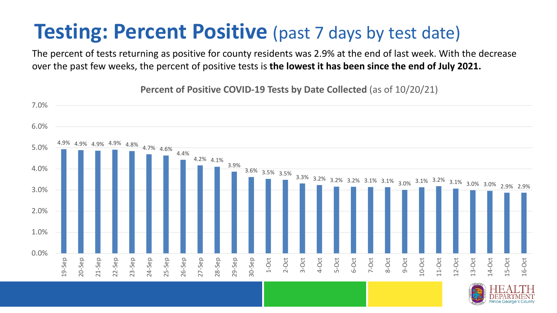### **Testing: Percent Positive** (past 7 days by test date)

The percent of tests returning as positive for county residents was 2.9% at the end of last week. With the decrease over the past few weeks, the percent of positive tests is **the lowest it has been since the end of July 2021.** 



**Percent of Positive COVID-19 Tests by Date Collected** (as of 10/20/21)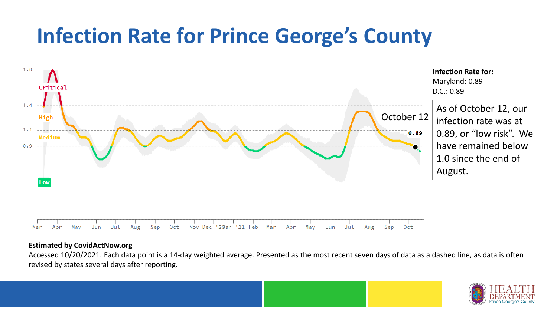## **Infection Rate for Prince George's County**



#### **Estimated by CovidActNow.org**

Accessed 10/20/2021. Each data point is a 14-day weighted average. Presented as the most recent seven days of data as a dashed line, as data is often revised by states several days after reporting.

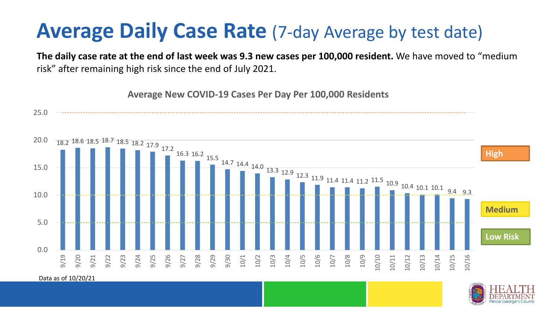### **Average Daily Case Rate** (7-day Average by test date)

**The daily case rate at the end of last week was 9.3 new cases per 100,000 resident.** We have moved to "medium risk" after remaining high risk since the end of July 2021.

18.2 18.6 18.5 18.7 18.5 18.2 17.9 17.2 16.3 16.2 15.5 14.7 14.4 14.0 13.3 12.9 12.3 11.9 11.4 11.4 11.2 11.5 10.9 10.4 10.1 10.1 9.4 9.3 0.0 5.0 10.0 15.0 20.0 25.0 9/19 9/20 9/21 9/22 9/23 9/24 9/25 9/26 9/27 9/28 9/29 9/30 10/1 10/2 10/3 10/4 10/5 10/6 10/7 10/8 10/9 10/10 10/11 10/12 10/13 10/14 10/15 10/16 **Average New COVID-19 Cases Per Day Per 100,000 Residents Low Risk Medium High**

Data as of 10/20/21